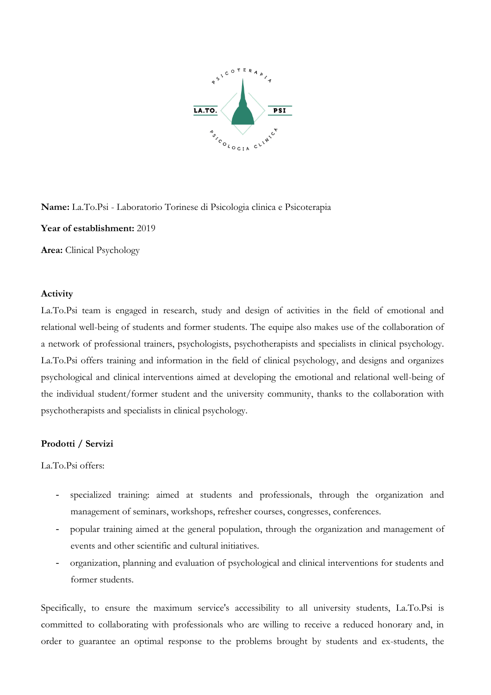

**Name:** La.To.Psi - Laboratorio Torinese di Psicologia clinica e Psicoterapia

**Year of establishment:** 2019

**Area:** Clinical Psychology

## **Activity**

La.To.Psi team is engaged in research, study and design of activities in the field of emotional and relational well-being of students and former students. The equipe also makes use of the collaboration of a network of professional trainers, psychologists, psychotherapists and specialists in clinical psychology. La.To.Psi offers training and information in the field of clinical psychology, and designs and organizes psychological and clinical interventions aimed at developing the emotional and relational well-being of the individual student/former student and the university community, thanks to the collaboration with psychotherapists and specialists in clinical psychology.

## **Prodotti / Servizi**

La.To.Psi offers:

- specialized training: aimed at students and professionals, through the organization and management of seminars, workshops, refresher courses, congresses, conferences.
- popular training aimed at the general population, through the organization and management of events and other scientific and cultural initiatives.
- organization, planning and evaluation of psychological and clinical interventions for students and former students.

Specifically, to ensure the maximum service's accessibility to all university students, La.To.Psi is committed to collaborating with professionals who are willing to receive a reduced honorary and, in order to guarantee an optimal response to the problems brought by students and ex-students, the